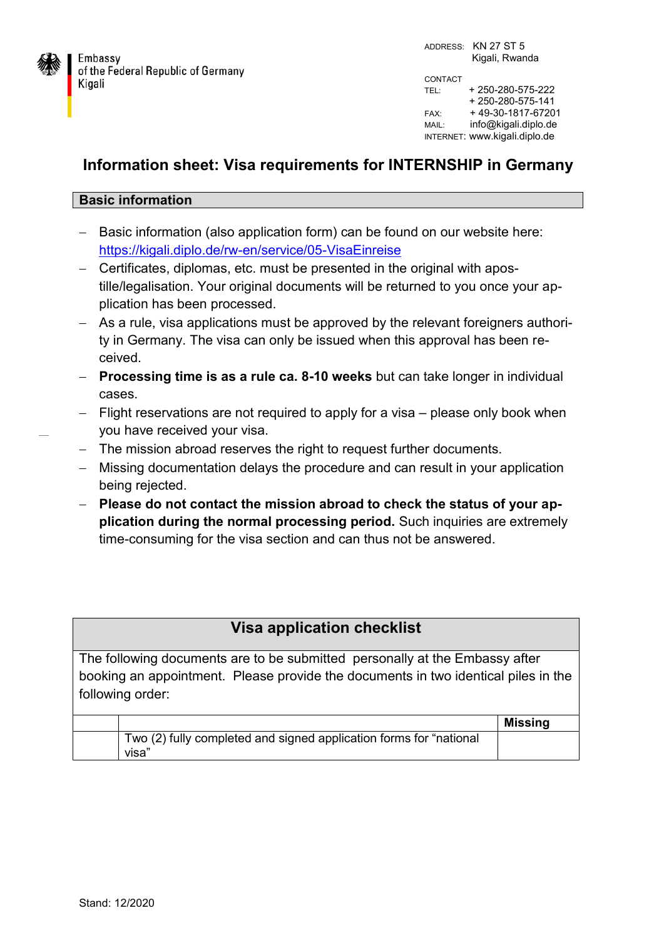

ADDRESS: KN 27 ST 5 Kigali, Rwanda CONTACT TEL: + 250-280-575-222 + 250-280-575-141 FAX: + 49-30-1817-67201 MAIL: info@kigali.diplo.de INTERNET: www.kigali.diplo.de

## **Information sheet: Visa requirements for INTERNSHIP in Germany**

## **Basic information**

- Basic information (also application form) can be found on our website here: <https://kigali.diplo.de/rw-en/service/05-VisaEinreise>
- Certificates, diplomas, etc. must be presented in the original with apostille/legalisation. Your original documents will be returned to you once your application has been processed.
- As a rule, visa applications must be approved by the relevant foreigners authority in Germany. The visa can only be issued when this approval has been received.
- **Processing time is as a rule ca. 8-10 weeks** but can take longer in individual cases.
- Flight reservations are not required to apply for a visa please only book when you have received your visa.
- The mission abroad reserves the right to request further documents.
- Missing documentation delays the procedure and can result in your application being rejected.
- **Please do not contact the mission abroad to check the status of your application during the normal processing period.** Such inquiries are extremely time-consuming for the visa section and can thus not be answered.

| <b>Visa application checklist</b>                                                  |
|------------------------------------------------------------------------------------|
| The following documents are to be submitted personally at the Embassy after        |
| booking an appointment. Please provide the documents in two identical piles in the |
| following order:                                                                   |

|                                                                             | <b>Missing</b> |
|-----------------------------------------------------------------------------|----------------|
| Two (2) fully completed and signed application forms for "national<br>visa" |                |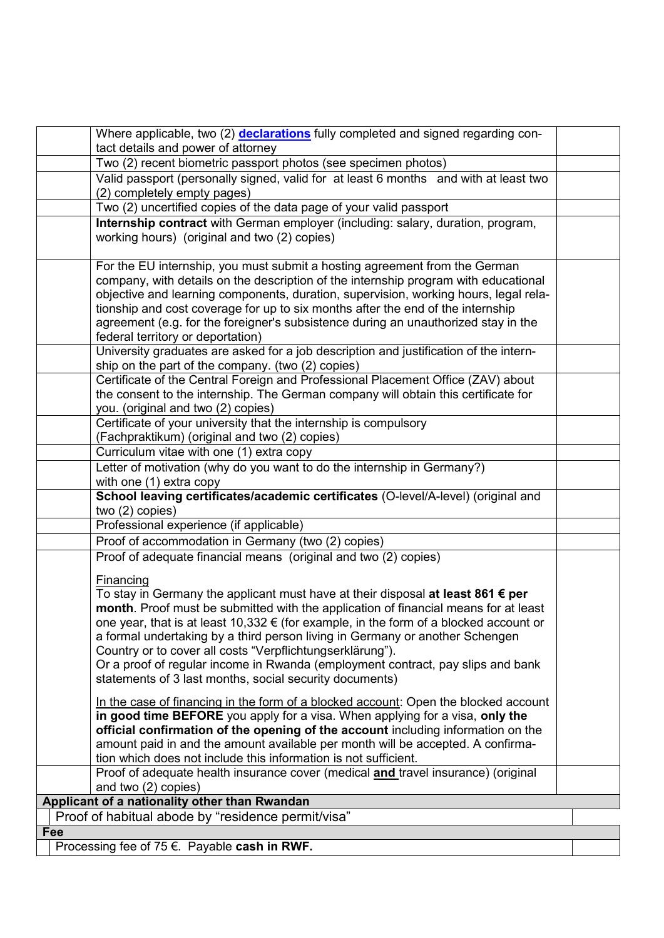|     | Where applicable, two (2) declarations fully completed and signed regarding con-                                           |  |
|-----|----------------------------------------------------------------------------------------------------------------------------|--|
|     | tact details and power of attorney                                                                                         |  |
|     | Two (2) recent biometric passport photos (see specimen photos)                                                             |  |
|     | Valid passport (personally signed, valid for at least 6 months and with at least two<br>(2) completely empty pages)        |  |
|     | Two (2) uncertified copies of the data page of your valid passport                                                         |  |
|     | Internship contract with German employer (including: salary, duration, program,                                            |  |
|     | working hours) (original and two (2) copies)                                                                               |  |
|     | For the EU internship, you must submit a hosting agreement from the German                                                 |  |
|     | company, with details on the description of the internship program with educational                                        |  |
|     | objective and learning components, duration, supervision, working hours, legal rela-                                       |  |
|     | tionship and cost coverage for up to six months after the end of the internship                                            |  |
|     | agreement (e.g. for the foreigner's subsistence during an unauthorized stay in the                                         |  |
|     | federal territory or deportation)<br>University graduates are asked for a job description and justification of the intern- |  |
|     | ship on the part of the company. (two (2) copies)                                                                          |  |
|     | Certificate of the Central Foreign and Professional Placement Office (ZAV) about                                           |  |
|     | the consent to the internship. The German company will obtain this certificate for                                         |  |
|     | you. (original and two (2) copies)                                                                                         |  |
|     | Certificate of your university that the internship is compulsory                                                           |  |
|     | (Fachpraktikum) (original and two (2) copies)                                                                              |  |
|     | Curriculum vitae with one (1) extra copy                                                                                   |  |
|     | Letter of motivation (why do you want to do the internship in Germany?)                                                    |  |
|     | with one (1) extra copy                                                                                                    |  |
|     | School leaving certificates/academic certificates (O-level/A-level) (original and<br>two (2) copies)                       |  |
|     |                                                                                                                            |  |
|     |                                                                                                                            |  |
|     | Professional experience (if applicable)                                                                                    |  |
|     | Proof of accommodation in Germany (two (2) copies)                                                                         |  |
|     | Proof of adequate financial means (original and two (2) copies)                                                            |  |
|     | Financing                                                                                                                  |  |
|     | To stay in Germany the applicant must have at their disposal at least 861 $\epsilon$ per                                   |  |
|     | month. Proof must be submitted with the application of financial means for at least                                        |  |
|     | one year, that is at least 10,332 $\epsilon$ (for example, in the form of a blocked account or                             |  |
|     | a formal undertaking by a third person living in Germany or another Schengen                                               |  |
|     | Country or to cover all costs "Verpflichtungserklärung").                                                                  |  |
|     | Or a proof of regular income in Rwanda (employment contract, pay slips and bank                                            |  |
|     | statements of 3 last months, social security documents)                                                                    |  |
|     | In the case of financing in the form of a blocked account: Open the blocked account                                        |  |
|     | in good time BEFORE you apply for a visa. When applying for a visa, only the                                               |  |
|     | official confirmation of the opening of the account including information on the                                           |  |
|     | amount paid in and the amount available per month will be accepted. A confirma-                                            |  |
|     | tion which does not include this information is not sufficient.                                                            |  |
|     | Proof of adequate health insurance cover (medical and travel insurance) (original                                          |  |
|     | and two (2) copies)                                                                                                        |  |
|     | Applicant of a nationality other than Rwandan                                                                              |  |
|     | Proof of habitual abode by "residence permit/visa"                                                                         |  |
| Fee | Processing fee of 75 €. Payable cash in RWF.                                                                               |  |